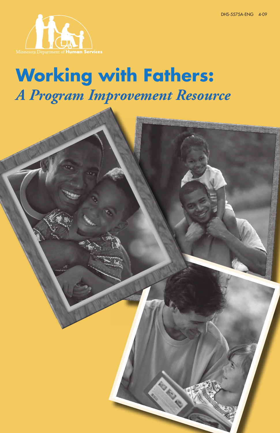

# **Working with Fathers:** *A Program Improvement Resource*

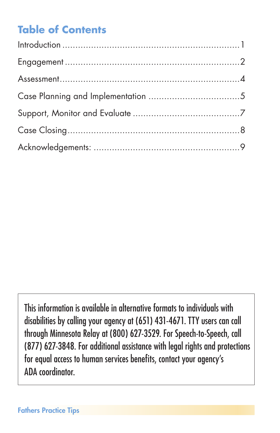## **Table of Contents**

This information is available in alternative formats to individuals with disabilities by calling your agency at (651) 431-4671. TTY users can call through Minnesota Relay at (800) 627-3529. For Speech-to-Speech, call (877) 627-3848. For additional assistance with legal rights and protections for equal access to human services benefits, contact your agency's ADA coordinator.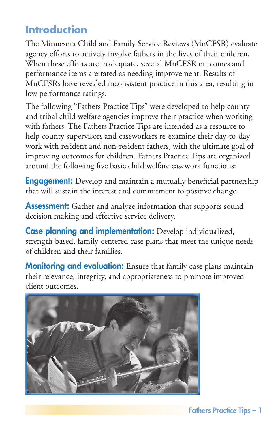### <span id="page-2-0"></span>**Introduction**

The Minnesota Child and Family Service Reviews (MnCFSR) evaluate agency efforts to actively involve fathers in the lives of their children. When these efforts are inadequate, several MnCFSR outcomes and performance items are rated as needing improvement. Results of MnCFSRs have revealed inconsistent practice in this area, resulting in low performance ratings.

The following "Fathers Practice Tips" were developed to help county and tribal child welfare agencies improve their practice when working with fathers. The Fathers Practice Tips are intended as a resource to help county supervisors and caseworkers re-examine their day-to-day work with resident and non-resident fathers, with the ultimate goal of improving outcomes for children. Fathers Practice Tips are organized around the following five basic child welfare casework functions:

**Engagement:** Develop and maintain a mutually beneficial partnership that will sustain the interest and commitment to positive change.

**Assessment:** Gather and analyze information that supports sound decision making and effective service delivery.

Case planning and implementation: Develop individualized, strength-based, family-centered case plans that meet the unique needs of children and their families.

**Monitoring and evaluation:** Ensure that family case plans maintain their relevance, integrity, and appropriateness to promote improved client outcomes.

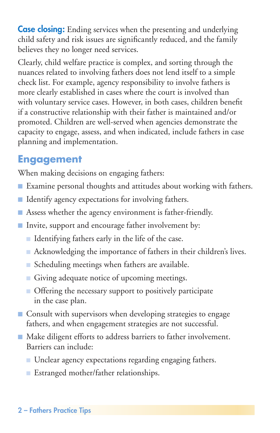<span id="page-3-0"></span>**Case closing:** Ending services when the presenting and underlying child safety and risk issues are significantly reduced, and the family believes they no longer need services.

Clearly, child welfare practice is complex, and sorting through the nuances related to involving fathers does not lend itself to a simple check list. For example, agency responsibility to involve fathers is more clearly established in cases where the court is involved than with voluntary service cases. However, in both cases, children benefit if a constructive relationship with their father is maintained and/or promoted. Children are well-served when agencies demonstrate the capacity to engage, assess, and when indicated, include fathers in case planning and implementation.

#### **Engagement**

When making decisions on engaging fathers:

- Examine personal thoughts and attitudes about working with fathers.
- Identify agency expectations for involving fathers.
- Assess whether the agency environment is father-friendly.
- Invite, support and encourage father involvement by:
	- Identifying fathers early in the life of the case.
	- Acknowledging the importance of fathers in their children's lives.
	- Scheduling meetings when fathers are available.
	- Giving adequate notice of upcoming meetings.
	- Offering the necessary support to positively participate in the case plan.
- Consult with supervisors when developing strategies to engage fathers, and when engagement strategies are not successful.
- Make diligent efforts to address barriers to father involvement. Barriers can include:
	- Unclear agency expectations regarding engaging fathers.
	- Estranged mother/father relationships.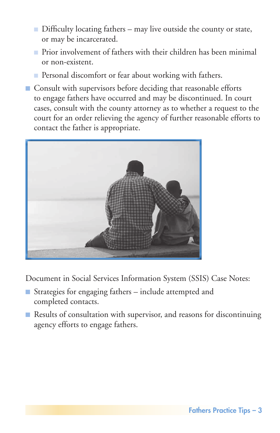- Difficulty locating fathers may live outside the county or state, or may be incarcerated.
- Prior involvement of fathers with their children has been minimal or non-existent.
- Personal discomfort or fear about working with fathers.
- Consult with supervisors before deciding that reasonable efforts to engage fathers have occurred and may be discontinued. In court cases, consult with the county attorney as to whether a request to the court for an order relieving the agency of further reasonable efforts to contact the father is appropriate.



Document in Social Services Information System (SSIS) Case Notes:

- Strategies for engaging fathers include attempted and completed contacts.
- Results of consultation with supervisor, and reasons for discontinuing agency efforts to engage fathers.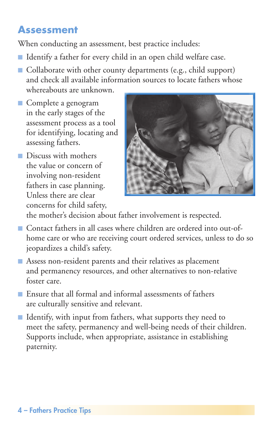#### <span id="page-5-0"></span>**Assessment**

When conducting an assessment, best practice includes:

- Identify a father for every child in an open child welfare case.
- Collaborate with other county departments (e.g., child support) and check all available information sources to locate fathers whose whereabouts are unknown.
- Complete a genogram in the early stages of the assessment process as a tool for identifying, locating and assessing fathers.
- Discuss with mothers the value or concern of involving non-resident fathers in case planning. Unless there are clear concerns for child safety,



the mother's decision about father involvement is respected.

- Contact fathers in all cases where children are ordered into out-ofhome care or who are receiving court ordered services, unless to do so jeopardizes a child's safety.
- Assess non-resident parents and their relatives as placement and permanency resources, and other alternatives to non-relative foster care.
- Ensure that all formal and informal assessments of fathers are culturally sensitive and relevant.
- Identify, with input from fathers, what supports they need to meet the safety, permanency and well-being needs of their children. Supports include, when appropriate, assistance in establishing paternity.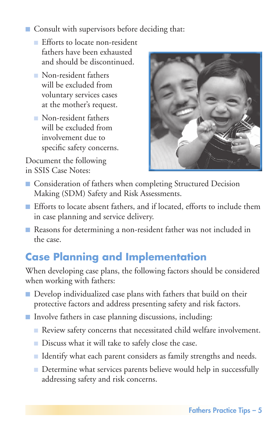- <span id="page-6-0"></span>■ Consult with supervisors before deciding that:
	- Efforts to locate non-resident fathers have been exhausted and should be discontinued.
	- Non-resident fathers will be excluded from voluntary services cases at the mother's request.
	- Non-resident fathers will be excluded from involvement due to specific safety concerns.

Document the following in SSIS Case Notes:



- Consideration of fathers when completing Structured Decision Making (SDM) Safety and Risk Assessments.
- Efforts to locate absent fathers, and if located, efforts to include them in case planning and service delivery.
- Reasons for determining a non-resident father was not included in the case.

## **Case Planning and Implementation**

When developing case plans, the following factors should be considered when working with fathers:

- Develop individualized case plans with fathers that build on their protective factors and address presenting safety and risk factors.
- Involve fathers in case planning discussions, including:
	- Review safety concerns that necessitated child welfare involvement.
	- Discuss what it will take to safely close the case.
	- Identify what each parent considers as family strengths and needs.
	- Determine what services parents believe would help in successfully addressing safety and risk concerns.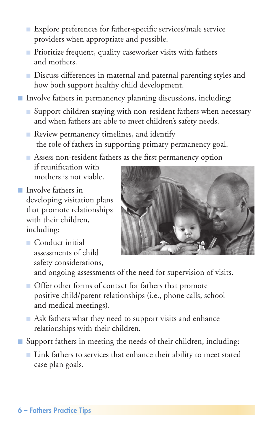- Explore preferences for father-specific services/male service providers when appropriate and possible.
- Prioritize frequent, quality caseworker visits with fathers and mothers.
- Discuss differences in maternal and paternal parenting styles and how both support healthy child development.
- Involve fathers in permanency planning discussions, including:
	- Support children staying with non-resident fathers when necessary and when fathers are able to meet children's safety needs.
	- Review permanency timelines, and identify the role of fathers in supporting primary permanency goal.

■ Assess non-resident fathers as the first permanency option

if reunification with mothers is not viable.

- Involve fathers in developing visitation plans that promote relationships with their children. including:
	- Conduct initial assessments of child safety considerations,



and ongoing assessments of the need for supervision of visits.

- Offer other forms of contact for fathers that promote positive child/parent relationships (i.e., phone calls, school and medical meetings).
- Ask fathers what they need to support visits and enhance relationships with their children.
- Support fathers in meeting the needs of their children, including:
	- Link fathers to services that enhance their ability to meet stated case plan goals.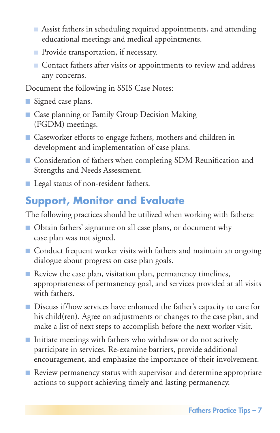- <span id="page-8-0"></span>■ Assist fathers in scheduling required appointments, and attending educational meetings and medical appointments.
- Provide transportation, if necessary.
- Contact fathers after visits or appointments to review and address any concerns.

Document the following in SSIS Case Notes:

- Signed case plans.
- Case planning or Family Group Decision Making (FGDM) meetings.
- Caseworker efforts to engage fathers, mothers and children in development and implementation of case plans.
- Consideration of fathers when completing SDM Reunification and Strengths and Needs Assessment.
- Legal status of non-resident fathers.

## **Support, Monitor and Evaluate**

The following practices should be utilized when working with fathers:

- Obtain fathers' signature on all case plans, or document why case plan was not signed.
- Conduct frequent worker visits with fathers and maintain an ongoing dialogue about progress on case plan goals.
- Review the case plan, visitation plan, permanency timelines, appropriateness of permanency goal, and services provided at all visits with fathers.
- Discuss if/how services have enhanced the father's capacity to care for his child(ren). Agree on adjustments or changes to the case plan, and make a list of next steps to accomplish before the next worker visit.
- Initiate meetings with fathers who withdraw or do not actively participate in services. Re-examine barriers, provide additional encouragement, and emphasize the importance of their involvement.
- Review permanency status with supervisor and determine appropriate actions to support achieving timely and lasting permanency.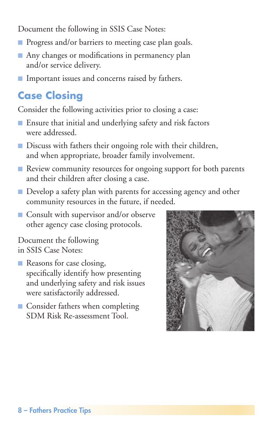<span id="page-9-0"></span>Document the following in SSIS Case Notes:

- Progress and/or barriers to meeting case plan goals.
- Any changes or modifications in permanency plan and/or service delivery.
- Important issues and concerns raised by fathers.

## **Case Closing**

Consider the following activities prior to closing a case:

- Ensure that initial and underlying safety and risk factors were addressed.
- Discuss with fathers their ongoing role with their children, and when appropriate, broader family involvement.
- Review community resources for ongoing support for both parents and their children after closing a case.
- Develop a safety plan with parents for accessing agency and other community resources in the future, if needed.
- Consult with supervisor and/or observe other agency case closing protocols.

Document the following in SSIS Case Notes:

- Reasons for case closing, specifically identify how presenting and underlying safety and risk issues were satisfactorily addressed.
- Consider fathers when completing SDM Risk Re-assessment Tool.

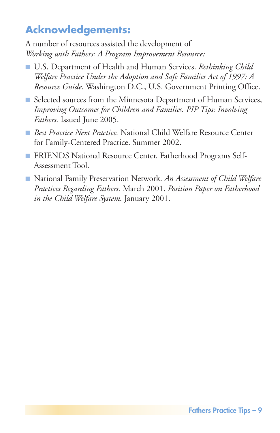## <span id="page-10-0"></span>**Acknowledgements:**

A number of resources assisted the development of *Working with Fathers: A Program Improvement Resource:*

- U.S. Department of Health and Human Services. *Rethinking Child Welfare Practice Under the Adoption and Safe Families Act of 1997: A Resource Guide.* Washington D.C., U.S. Government Printing Office.
- Selected sources from the Minnesota Department of Human Services, *Improving Outcomes for Children and Families. PIP Tips: Involving Fathers.* Issued June 2005.
- *Best Practice Next Practice.* National Child Welfare Resource Center for Family-Centered Practice. Summer 2002.
- FRIENDS National Resource Center. Fatherhood Programs Self-Assessment Tool.
- National Family Preservation Network. An Assessment of Child Welfare *Practices Regarding Fathers.* March 2001. *Position Paper on Fatherhood in the Child Welfare System.* January 2001.